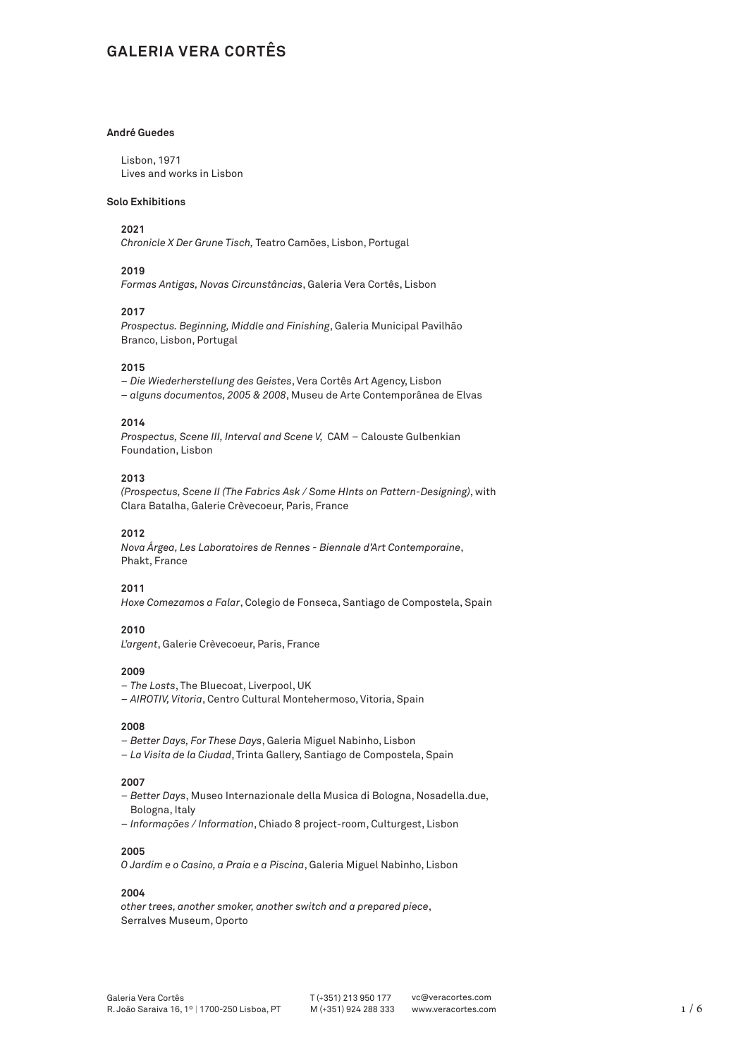# **GALERIA VERA CORTÊS**

# **André Guedes**

Lisbon, 1971 Lives and works in Lisbon

# **Solo Exhibitions**

# **2021**

*Chronicle X Der Grune Tisch,* Teatro Camões, Lisbon, Portugal

# **2019**

*Formas Antigas, Novas Circunstâncias*, Galeria Vera Cortês, Lisbon

#### **2017**

*Prospectus. Beginning, Middle and Finishing*, Galeria Municipal Pavilhão Branco, Lisbon, Portugal

# **2015**

*– Die Wiederherstellung des Geistes*, Vera Cortês Art Agency, Lisbon *– alguns documentos, 2005 & 2008*, Museu de Arte Contemporânea de Elvas

#### **2014**

*Prospectus, Scene III, Interval and Scene V,* CAM – Calouste Gulbenkian Foundation, Lisbon

# **2013**

*(Prospectus, Scene II (The Fabrics Ask / Some HInts on Pattern-Designing)*, with Clara Batalha, Galerie Crèvecoeur, Paris, France

# **2012**

*Nova Árgea, Les Laboratoires de Rennes - Biennale d'Art Contemporaine*, Phakt, France

# **2011**

*Hoxe Comezamos a Falar*, Colegio de Fonseca, Santiago de Compostela, Spain

## **2010**

*L'argent*, Galerie Crèvecoeur, Paris, France

# **2009**

- *The Losts*, The Bluecoat, Liverpool, UK
- *AIROTIV, Vitoria*, Centro Cultural Montehermoso, Vitoria, Spain

#### **2008**

- *Better Days, For These Days*, Galeria Miguel Nabinho, Lisbon
- *La Visita de la Ciudad*, Trinta Gallery, Santiago de Compostela, Spain

# **2007**

- *Better Days*, Museo Internazionale della Musica di Bologna, Nosadella.due, Bologna, Italy
- *Informações / Information*, Chiado 8 project-room, Culturgest, Lisbon

# **2005**

*O Jardim e o Casino, a Praia e a Piscina*, Galeria Miguel Nabinho, Lisbon

#### **2004**

*other trees, another smoker, another switch and a prepared piece*, Serralves Museum, Oporto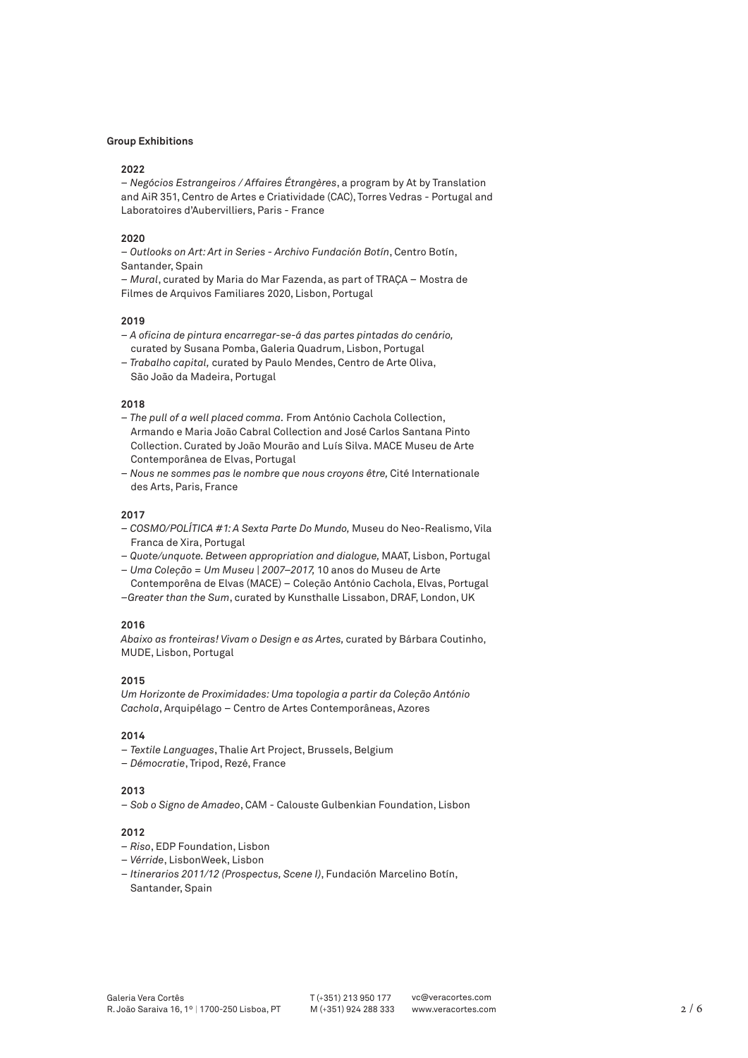#### **Group Exhibitions**

#### **2022**

*– Negócios Estrangeiros / Affaires Étrangères*, a program by At by Translation and AiR 351, Centro de Artes e Criatividade (CAC), Torres Vedras - Portugal and Laboratoires d'Aubervilliers, Paris - France

## **2020**

*– Outlooks on Art: Art in Series - Archivo Fundación Botín*, Centro Botín, Santander, Spain

*– Mural*, curated by Maria do Mar Fazenda, as part of TRAÇA – Mostra de Filmes de Arquivos Familiares 2020, Lisbon, Portugal

## **2019**

- *A oficina de pintura encarregar-se-á das partes pintadas do cenário,*  curated by Susana Pomba, Galeria Quadrum, Lisbon, Portugal
- *Trabalho capital,* curated by Paulo Mendes, Centro de Arte Oliva, São João da Madeira, Portugal

#### **2018**

- *The pull of a well placed comma.* From António Cachola Collection, Armando e Maria João Cabral Collection and José Carlos Santana Pinto Collection. Curated by João Mourão and Luís Silva. MACE Museu de Arte Contemporânea de Elvas, Portugal
- *Nous ne sommes pas le nombre que nous croyons être,* Cité Internationale des Arts, Paris, France

#### **2017**

- *COSMO/POLÍTICA #1: A Sexta Parte Do Mundo,* Museu do Neo-Realismo, Vila Franca de Xira, Portugal
- *Quote/unquote. Between appropriation and dialogue,* MAAT, Lisbon, Portugal
- *Uma Coleção = Um Museu | 2007–2017,* 10 anos do Museu de Arte Contemporêna de Elvas (MACE) – Coleção António Cachola, Elvas, Portugal
- *–Greater than the Sum*, curated by Kunsthalle Lissabon, DRAF, London, UK

# **2016**

*Abaixo as fronteiras! Vivam o Design e as Artes,* curated by Bárbara Coutinho, MUDE, Lisbon, Portugal

### **2015**

*Um Horizonte de Proximidades: Uma topologia a partir da Coleção António Cachola*, Arquipélago – Centro de Artes Contemporâneas, Azores

# **2014**

- *Textile Languages*, Thalie Art Project, Brussels, Belgium
- *Démocratie*, Tripod, Rezé, France

# **2013**

– *Sob o Signo de Amadeo*, CAM - Calouste Gulbenkian Foundation, Lisbon

#### **2012**

- *Riso*, EDP Foundation, Lisbon
- *Vérride*, LisbonWeek, Lisbon
- *Itinerarios 2011/12 (Prospectus, Scene I)*, Fundación Marcelino Botín, Santander, Spain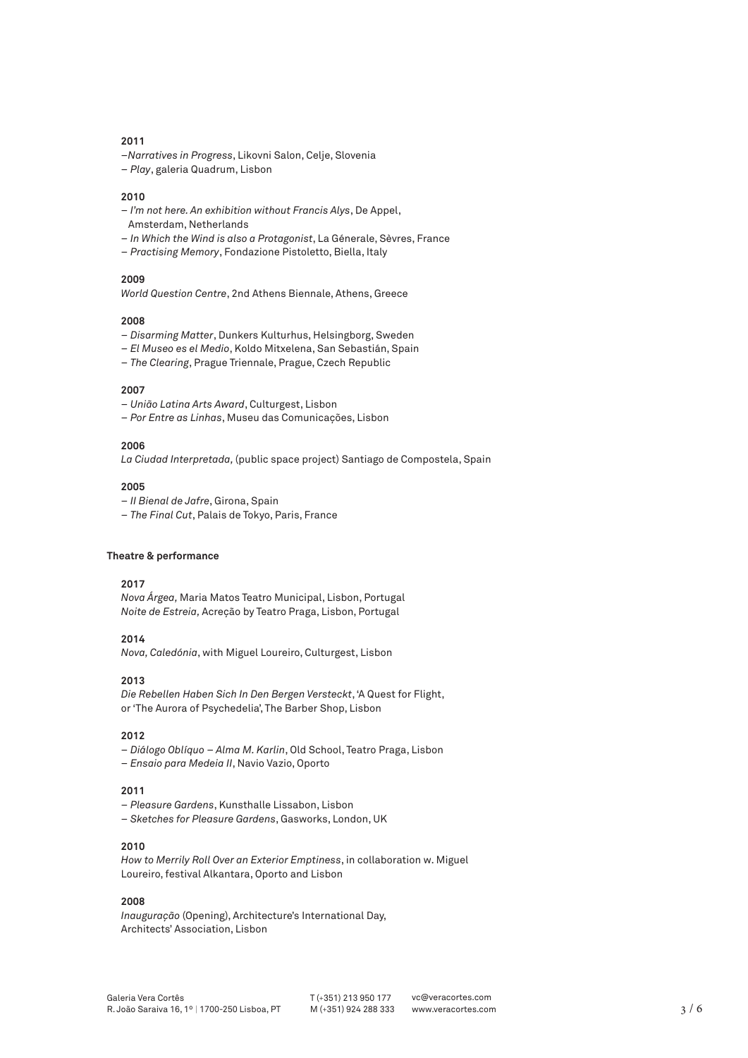- –*Narratives in Progress*, Likovni Salon, Celje, Slovenia
- *Play*, galeria Quadrum, Lisbon

#### **2010**

- *I'm not here. An exhibition without Francis Alys*, De Appel,
- Amsterdam, Netherlands
- *In Which the Wind is also a Protagonist*, La Génerale, Sèvres, France
- *Practising Memory*, Fondazione Pistoletto, Biella, Italy

## **2009**

*World Question Centre*, 2nd Athens Biennale, Athens, Greece

### **2008**

- *Disarming Matter*, Dunkers Kulturhus, Helsingborg, Sweden
- *El Museo es el Medio*, Koldo Mitxelena, San Sebastián, Spain
- *The Clearing*, Prague Triennale, Prague, Czech Republic

# **2007**

- *União Latina Arts Award*, Culturgest, Lisbon
- *Por Entre as Linhas*, Museu das Comunicações, Lisbon

# **2006**

*La Ciudad Interpretada,* (public space project) Santiago de Compostela, Spain

## **2005**

- *II Bienal de Jafre*, Girona, Spain
- *The Final Cut*, Palais de Tokyo, Paris, France

#### **Theatre & performance**

### **2017**

*Nova Árgea,* Maria Matos Teatro Municipal, Lisbon, Portugal *Noite de Estreia,* Acreção by Teatro Praga, Lisbon, Portugal

#### **2014**

*Nova, Caledónia*, with Miguel Loureiro, Culturgest, Lisbon

### **2013**

*Die Rebellen Haben Sich In Den Bergen Versteckt*, 'A Quest for Flight, or 'The Aurora of Psychedelia', The Barber Shop, Lisbon

## **2012**

– *Diálogo Oblíquo – Alma M. Karlin*, Old School, Teatro Praga, Lisbon – *Ensaio para Medeia II*, Navio Vazio, Oporto

#### **2011**

- *Pleasure Gardens*, Kunsthalle Lissabon, Lisbon
- *Sketches for Pleasure Gardens*, Gasworks, London, UK

### **2010**

*How to Merrily Roll Over an Exterior Emptiness*, in collaboration w. Miguel Loureiro, festival Alkantara, Oporto and Lisbon

## **2008**

*Inauguração* (Opening), Architecture's International Day, Architects' Association, Lisbon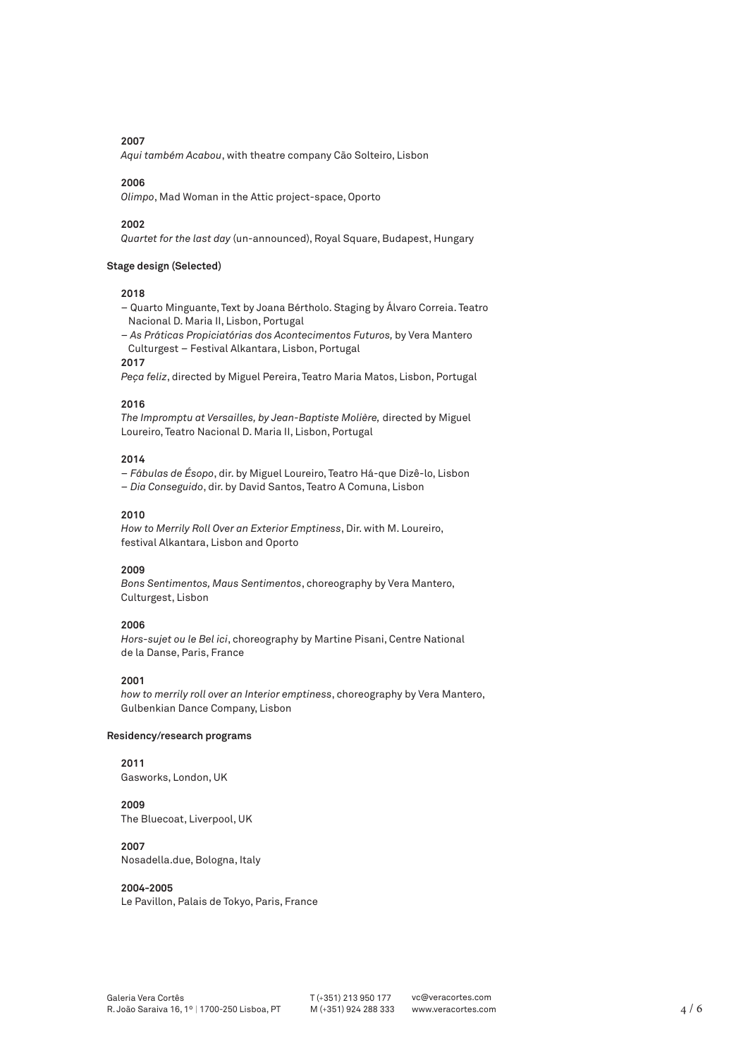*Aqui também Acabou*, with theatre company Cão Solteiro, Lisbon

#### **2006**

*Olimpo*, Mad Woman in the Attic project-space, Oporto

#### **2002**

*Quartet for the last day* (un-announced), Royal Square, Budapest, Hungary

## **Stage design (Selected)**

#### **2018**

- Quarto Minguante, Text by Joana Bértholo. Staging by Álvaro Correia. Teatro Nacional D. Maria II, Lisbon, Portugal
- *As Práticas Propiciatórias dos Acontecimentos Futuros,* by Vera Mantero Culturgest – Festival Alkantara, Lisbon, Portugal

# **2017**

*Peça feliz*, directed by Miguel Pereira, Teatro Maria Matos, Lisbon, Portugal

# **2016**

*The Impromptu at Versailles, by Jean-Baptiste Molière,* directed by Miguel Loureiro, Teatro Nacional D. Maria II, Lisbon, Portugal

# **2014**

– *Fábulas de Ésopo*, dir. by Miguel Loureiro, Teatro Há-que Dizê-lo, Lisbon – *Dia Conseguido*, dir. by David Santos, Teatro A Comuna, Lisbon

#### **2010**

*How to Merrily Roll Over an Exterior Emptiness*, Dir. with M. Loureiro, festival Alkantara, Lisbon and Oporto

# **2009**

*Bons Sentimentos, Maus Sentimentos*, choreography by Vera Mantero, Culturgest, Lisbon

# **2006**

*Hors-sujet ou le Bel ici*, choreography by Martine Pisani, Centre National de la Danse, Paris, France

# **2001**

*how to merrily roll over an Interior emptiness*, choreography by Vera Mantero, Gulbenkian Dance Company, Lisbon

## **Residency/research programs**

**2011** Gasworks, London, UK

**2009** The Bluecoat, Liverpool, UK

# **2007**

Nosadella.due, Bologna, Italy

# **2004-2005**

Le Pavillon, Palais de Tokyo, Paris, France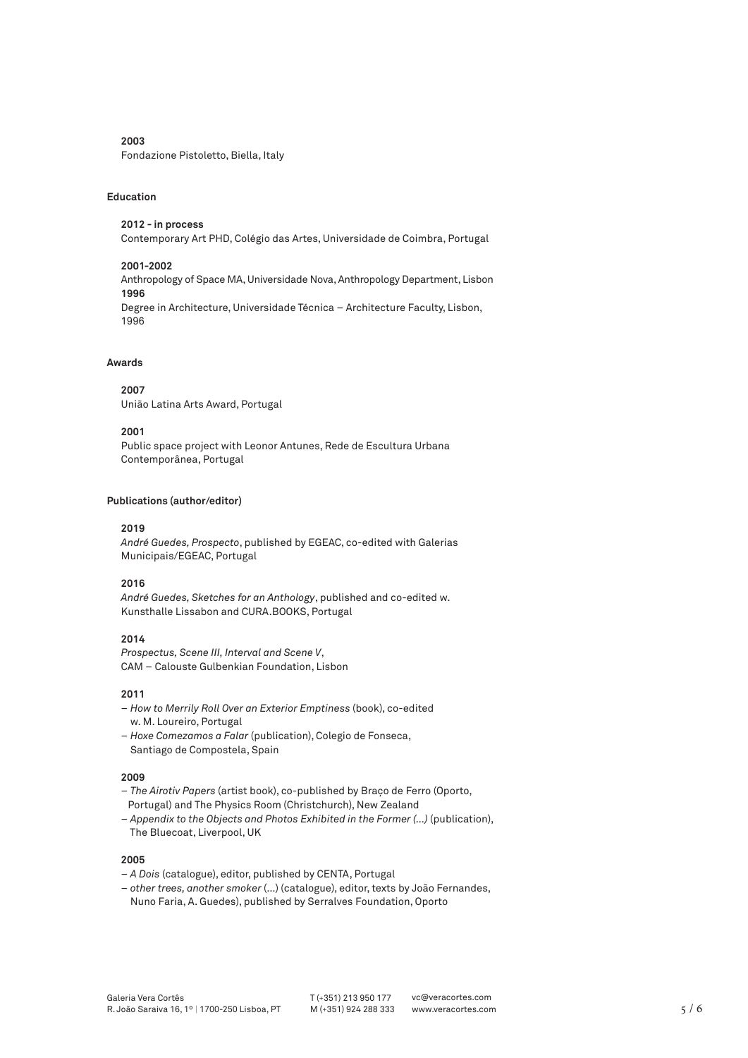Fondazione Pistoletto, Biella, Italy

## **Education**

### **2012 - in process**

Contemporary Art PHD, Colégio das Artes, Universidade de Coimbra, Portugal

# **2001-2002** Anthropology of Space MA, Universidade Nova, Anthropology Department, Lisbon **1996** Degree in Architecture, Universidade Técnica – Architecture Faculty, Lisbon, 1996

# **Awards**

**2007** União Latina Arts Award, Portugal

## **2001**

Public space project with Leonor Antunes, Rede de Escultura Urbana Contemporânea, Portugal

# **Publications (author/editor)**

#### **2019**

*André Guedes, Prospecto*, published by EGEAC, co-edited with Galerias Municipais/EGEAC, Portugal

# **2016**

*André Guedes, Sketches for an Anthology*, published and co-edited w. Kunsthalle Lissabon and CURA.BOOKS, Portugal

# **2014**

*Prospectus, Scene III, Interval and Scene V*, CAM – Calouste Gulbenkian Foundation, Lisbon

# **2011**

- *How to Merrily Roll Over an Exterior Emptiness* (book), co-edited w. M. Loureiro, Portugal
- *Hoxe Comezamos a Falar* (publication), Colegio de Fonseca, Santiago de Compostela, Spain

# **2009**

- *The Airotiv Papers* (artist book), co-published by Braço de Ferro (Oporto, Portugal) and The Physics Room (Christchurch), New Zealand
- *Appendix to the Objects and Photos Exhibited in the Former (…)* (publication), The Bluecoat, Liverpool, UK

#### **2005**

- *A Dois* (catalogue), editor, published by CENTA, Portugal
- *other trees, another smoker* (…) (catalogue), editor, texts by João Fernandes, Nuno Faria, A. Guedes), published by Serralves Foundation, Oporto